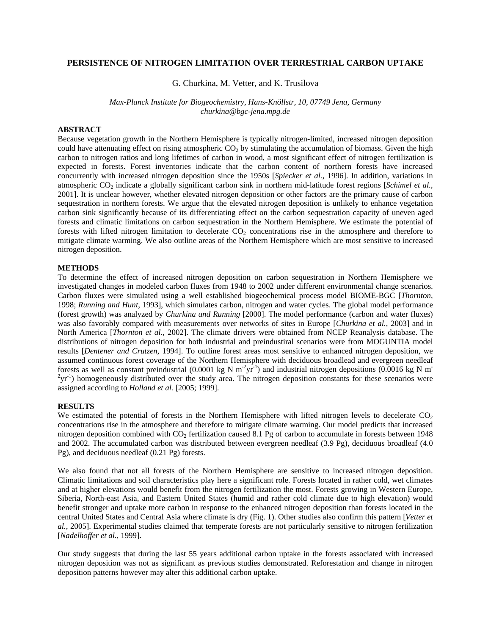## **PERSISTENCE OF NITROGEN LIMITATION OVER TERRESTRIAL CARBON UPTAKE**

G. Churkina, M. Vetter, and K. Trusilova

*Max-Planck Institute for Biogeochemistry, Hans-Knöllstr, 10, 07749 Jena, Germany churkina@bgc-jena.mpg.de* 

# **ABSTRACT**

Because vegetation growth in the Northern Hemisphere is typically nitrogen-limited, increased nitrogen deposition could have attenuating effect on rising atmospheric  $CO<sub>2</sub>$  by stimulating the accumulation of biomass. Given the high carbon to nitrogen ratios and long lifetimes of carbon in wood, a most significant effect of nitrogen fertilization is expected in forests. Forest inventories indicate that the carbon content of northern forests have increased concurrently with increased nitrogen deposition since the 1950s [*Spiecker et al.*, 1996]. In addition, variations in atmospheric CO<sub>2</sub> indicate a globally significant carbon sink in northern mid-latitude forest regions [Schimel et al., 2001]. It is unclear however, whether elevated nitrogen deposition or other factors are the primary cause of carbon sequestration in northern forests. We argue that the elevated nitrogen deposition is unlikely to enhance vegetation carbon sink significantly because of its differentiating effect on the carbon sequestration capacity of uneven aged forests and climatic limitations on carbon sequestration in the Northern Hemisphere. We estimate the potential of forests with lifted nitrogen limitation to decelerate  $CO<sub>2</sub>$  concentrations rise in the atmosphere and therefore to mitigate climate warming. We also outline areas of the Northern Hemisphere which are most sensitive to increased nitrogen deposition.

## **METHODS**

To determine the effect of increased nitrogen deposition on carbon sequestration in Northern Hemisphere we investigated changes in modeled carbon fluxes from 1948 to 2002 under different environmental change scenarios. Carbon fluxes were simulated using a well established biogeochemical process model BIOME-BGC [*Thornton*, 1998; *Running and Hunt*, 1993], which simulates carbon, nitrogen and water cycles. The global model performance (forest growth) was analyzed by *Churkina and Running* [2000]. The model performance (carbon and water fluxes) was also favorably compared with measurements over networks of sites in Europe [*Churkina et al.*, 2003] and in North America [*Thornton et al.*, 2002]. The climate drivers were obtained from NCEP Reanalysis database. The distributions of nitrogen deposition for both industrial and preindustiral scenarios were from MOGUNTIA model results [*Dentener and Crutzen*, 1994]. To outline forest areas most sensitive to enhanced nitrogen deposition, we assumed continuous forest coverage of the Northern Hemisphere with deciduous broadlead and evergreen needleaf forests as well as constant preindustrial  $(0.0001 \text{ kg N m}^{-2} \text{yr}^{-1})$  and industrial nitrogen depositions  $(0.0016 \text{ kg N m})$  $2yr^{-1}$ ) homogeneously distributed over the study area. The nitrogen deposition constants for these scenarios were assigned according to *Holland et al.* [2005; 1999].

## **RESULTS**

We estimated the potential of forests in the Northern Hemisphere with lifted nitrogen levels to decelerate  $CO<sub>2</sub>$ concentrations rise in the atmosphere and therefore to mitigate climate warming. Our model predicts that increased nitrogen deposition combined with  $CO<sub>2</sub>$  fertilization caused 8.1 Pg of carbon to accumulate in forests between 1948 and 2002. The accumulated carbon was distributed between evergreen needleaf (3.9 Pg), deciduous broadleaf (4.0 Pg), and deciduous needleaf (0.21 Pg) forests.

We also found that not all forests of the Northern Hemisphere are sensitive to increased nitrogen deposition. Climatic limitations and soil characteristics play here a significant role. Forests located in rather cold, wet climates and at higher elevations would benefit from the nitrogen fertilization the most. Forests growing in Western Europe, Siberia, North-east Asia, and Eastern United States (humid and rather cold climate due to high elevation) would benefit stronger and uptake more carbon in response to the enhanced nitrogen deposition than forests located in the central United States and Central Asia where climate is dry (Fig. 1). Other studies also confirm this pattern [*Vetter et al.*, 2005]. Experimental studies claimed that temperate forests are not particularly sensitive to nitrogen fertilization [*Nadelhoffer et al.*, 1999].

Our study suggests that during the last 55 years additional carbon uptake in the forests associated with increased nitrogen deposition was not as significant as previous studies demonstrated. Reforestation and change in nitrogen deposition patterns however may alter this additional carbon uptake.